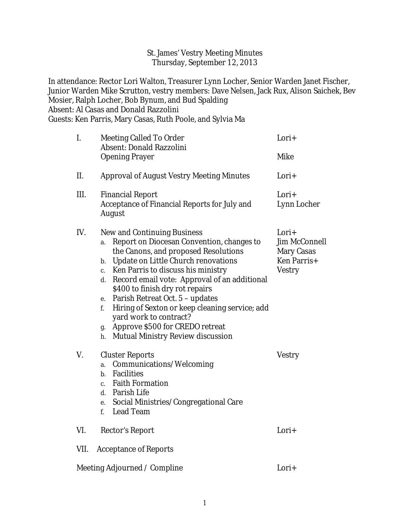## St. James' Vestry Meeting Minutes Thursday, September 12, 2013

In attendance: Rector Lori Walton, Treasurer Lynn Locher, Senior Warden Janet Fischer, Junior Warden Mike Scrutton, vestry members: Dave Nelsen, Jack Rux, Alison Saichek, Bev Mosier, Ralph Locher, Bob Bynum, and Bud Spalding Absent: Al Casas and Donald Razzolini Guests: Ken Parris, Mary Casas, Ruth Poole, and Sylvia Ma

| I.   | <b>Meeting Called To Order</b><br><b>Absent: Donald Razzolini</b>                                                                                                                                                                                                                                                                                                                                                                                                                                                                                              | Lori+                                                                                     |
|------|----------------------------------------------------------------------------------------------------------------------------------------------------------------------------------------------------------------------------------------------------------------------------------------------------------------------------------------------------------------------------------------------------------------------------------------------------------------------------------------------------------------------------------------------------------------|-------------------------------------------------------------------------------------------|
|      | <b>Opening Prayer</b>                                                                                                                                                                                                                                                                                                                                                                                                                                                                                                                                          | <b>Mike</b>                                                                               |
| II.  | <b>Approval of August Vestry Meeting Minutes</b>                                                                                                                                                                                                                                                                                                                                                                                                                                                                                                               | Lori+                                                                                     |
| III. | <b>Financial Report</b><br><b>Acceptance of Financial Reports for July and</b><br><b>August</b>                                                                                                                                                                                                                                                                                                                                                                                                                                                                | Lori+<br><b>Lynn Locher</b>                                                               |
| IV.  | <b>New and Continuing Business</b><br><b>Report on Diocesan Convention, changes to</b><br>a.<br>the Canons, and proposed Resolutions<br><b>Update on Little Church renovations</b><br>b.<br>Ken Parris to discuss his ministry<br>c.<br>d. Record email vote: Approval of an additional<br>\$400 to finish dry rot repairs<br><b>Parish Retreat Oct. 5 - updates</b><br>e.<br>Hiring of Sexton or keep cleaning service; add<br>f.<br>yard work to contract?<br><b>Approve \$500 for CREDO retreat</b><br>g.<br><b>Mutual Ministry Review discussion</b><br>h. | Lori+<br><b>Jim McConnell</b><br><b>Mary Casas</b><br><b>Ken Parris+</b><br><b>Vestry</b> |
| V.   | <b>Cluster Reports</b><br><b>Communications/Welcoming</b><br>a.<br><b>Facilities</b><br>$\mathbf{b}$ .<br><b>Faith Formation</b><br>c.<br>d. Parish Life<br>e. Social Ministries/Congregational Care<br>f. Lead Team                                                                                                                                                                                                                                                                                                                                           | <b>Vestry</b>                                                                             |
| VI.  | <b>Rector's Report</b>                                                                                                                                                                                                                                                                                                                                                                                                                                                                                                                                         | Lori+                                                                                     |
| VII. | <b>Acceptance of Reports</b>                                                                                                                                                                                                                                                                                                                                                                                                                                                                                                                                   |                                                                                           |
|      | <b>Meeting Adjourned / Compline</b>                                                                                                                                                                                                                                                                                                                                                                                                                                                                                                                            | Lori+                                                                                     |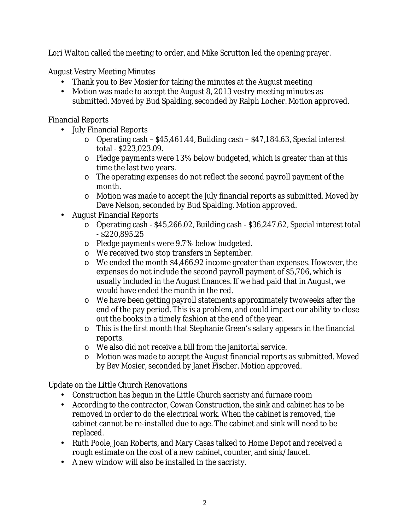Lori Walton called the meeting to order, and Mike Scrutton led the opening prayer.

August Vestry Meeting Minutes

- Thank you to Bev Mosier for taking the minutes at the August meeting
- Motion was made to accept the August 8, 2013 vestry meeting minutes as submitted. Moved by Bud Spalding, seconded by Ralph Locher. Motion approved.

Financial Reports

- July Financial Reports
	- o Operating cash \$45,461.44, Building cash \$47,184.63, Special interest total - \$223,023.09.
	- o Pledge payments were 13% below budgeted, which is greater than at this time the last two years.
	- o The operating expenses do not reflect the second payroll payment of the month.
	- o Motion was made to accept the July financial reports as submitted. Moved by Dave Nelson, seconded by Bud Spalding. Motion approved.
- August Financial Reports
	- o Operating cash \$45,266.02, Building cash \$36,247.62, Special interest total - \$220,895.25
	- o Pledge payments were 9.7% below budgeted.
	- o We received two stop transfers in September.
	- o We ended the month \$4,466.92 income greater than expenses. However, the expenses do not include the second payroll payment of \$5,706, which is usually included in the August finances. If we had paid that in August, we would have ended the month in the red.
	- o We have been getting payroll statements approximately twoweeks after the end of the pay period. This is a problem, and could impact our ability to close out the books in a timely fashion at the end of the year.
	- o This is the first month that Stephanie Green's salary appears in the financial reports.
	- o We also did not receive a bill from the janitorial service.
	- o Motion was made to accept the August financial reports as submitted. Moved by Bev Mosier, seconded by Janet Fischer. Motion approved.

Update on the Little Church Renovations

- Construction has begun in the Little Church sacristy and furnace room
- According to the contractor, Cowan Construction, the sink and cabinet has to be removed in order to do the electrical work. When the cabinet is removed, the cabinet cannot be re-installed due to age. The cabinet and sink will need to be replaced.
- Ruth Poole, Joan Roberts, and Mary Casas talked to Home Depot and received a rough estimate on the cost of a new cabinet, counter, and sink/faucet.
- A new window will also be installed in the sacristy.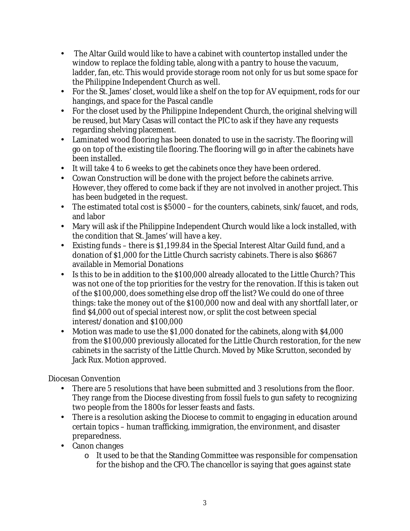- The Altar Guild would like to have a cabinet with countertop installed under the window to replace the folding table, along with a pantry to house the vacuum, ladder, fan, etc. This would provide storage room not only for us but some space for the Philippine Independent Church as well.
- For the St. James' closet, would like a shelf on the top for AV equipment, rods for our hangings, and space for the Pascal candle
- For the closet used by the Philippine Independent Church, the original shelving will be reused, but Mary Casas will contact the PIC to ask if they have any requests regarding shelving placement.
- Laminated wood flooring has been donated to use in the sacristy. The flooring will go on top of the existing tile flooring. The flooring will go in after the cabinets have been installed.
- It will take 4 to 6 weeks to get the cabinets once they have been ordered.
- Cowan Construction will be done with the project before the cabinets arrive. However, they offered to come back if they are not involved in another project. This has been budgeted in the request.
- The estimated total cost is \$5000 for the counters, cabinets, sink/faucet, and rods, and labor
- Mary will ask if the Philippine Independent Church would like a lock installed, with the condition that St. James' will have a key.
- Existing funds there is \$1,199.84 in the Special Interest Altar Guild fund, and a donation of \$1,000 for the Little Church sacristy cabinets. There is also \$6867 available in Memorial Donations
- Is this to be in addition to the \$100,000 already allocated to the Little Church? This was not one of the top priorities for the vestry for the renovation. If this is taken out of the \$100,000, does something else drop off the list? We could do one of three things: take the money out of the \$100,000 now and deal with any shortfall later, or find \$4,000 out of special interest now, or split the cost between special interest/donation and \$100,000
- Motion was made to use the \$1,000 donated for the cabinets, along with \$4,000 from the \$100,000 previously allocated for the Little Church restoration, for the new cabinets in the sacristy of the Little Church. Moved by Mike Scrutton, seconded by Jack Rux. Motion approved.

Diocesan Convention

- There are 5 resolutions that have been submitted and 3 resolutions from the floor. They range from the Diocese divesting from fossil fuels to gun safety to recognizing two people from the 1800s for lesser feasts and fasts.
- There is a resolution asking the Diocese to commit to engaging in education around certain topics – human trafficking, immigration, the environment, and disaster preparedness.
- Canon changes
	- o It used to be that the Standing Committee was responsible for compensation for the bishop and the CFO. The chancellor is saying that goes against state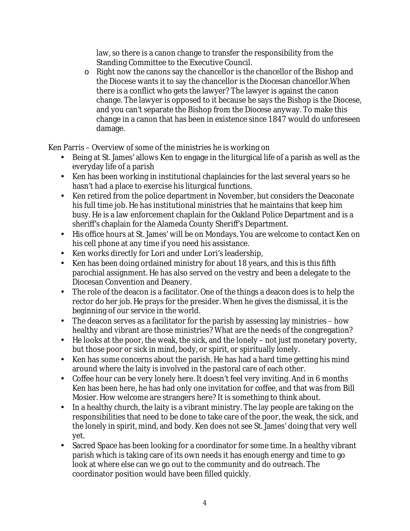law, so there is a canon change to transfer the responsibility from the Standing Committee to the Executive Council.

o Right now the canons say the chancellor is the chancellor of the Bishop and the Diocese wants it to say the chancellor is the Diocesan chancellor.When there is a conflict who gets the lawyer? The lawyer is against the canon change. The lawyer is opposed to it because he says the Bishop is the Diocese, and you can't separate the Bishop from the Diocese anyway. To make this change in a canon that has been in existence since 1847 would do unforeseen damage.

Ken Parris – Overview of some of the ministries he is working on

- Being at St. James' allows Ken to engage in the liturgical life of a parish as well as the everyday life of a parish
- Ken has been working in institutional chaplaincies for the last several years so he hasn't had a place to exercise his liturgical functions.
- Ken retired from the police department in November, but considers the Deaconate his full time job. He has institutional ministries that he maintains that keep him busy. He is a law enforcement chaplain for the Oakland Police Department and is a sheriff's chaplain for the Alameda County Sheriff's Department.
- His office hours at St. James' will be on Mondays. You are welcome to contact Ken on his cell phone at any time if you need his assistance.
- Ken works directly for Lori and under Lori's leadership,
- Ken has been doing ordained ministry for about 18 years, and this is this fifth parochial assignment. He has also served on the vestry and been a delegate to the Diocesan Convention and Deanery.
- The role of the deacon is a facilitator. One of the things a deacon does is to help the rector do her job. He prays for the presider. When he gives the dismissal, it is the beginning of our service in the world.
- The deacon serves as a facilitator for the parish by assessing lay ministries how healthy and vibrant are those ministries? What are the needs of the congregation?
- He looks at the poor, the weak, the sick, and the lonely not just monetary poverty, but those poor or sick in mind, body, or spirit, or spiritually lonely.
- Ken has some concerns about the parish. He has had a hard time getting his mind around where the laity is involved in the pastoral care of each other.
- Coffee hour can be very lonely here. It doesn't feel very inviting. And in 6 months Ken has been here, he has had only one invitation for coffee, and that was from Bill Mosier. How welcome are strangers here? It is something to think about.
- In a healthy church, the laity is a vibrant ministry. The lay people are taking on the responsibilities that need to be done to take care of the poor, the weak, the sick, and the lonely in spirit, mind, and body. Ken does not see St. James' doing that very well yet.
- Sacred Space has been looking for a coordinator for some time. In a healthy vibrant parish which is taking care of its own needs it has enough energy and time to go look at where else can we go out to the community and do outreach. The coordinator position would have been filled quickly.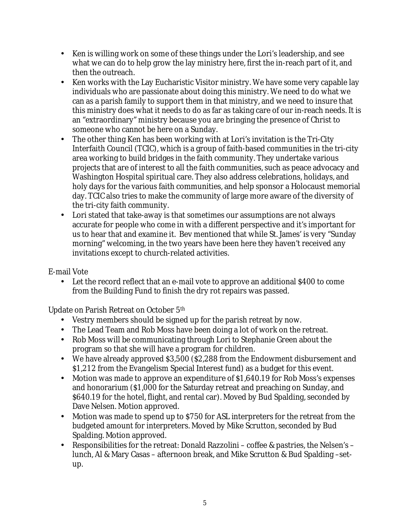- Ken is willing work on some of these things under the Lori's leadership, and see what we can do to help grow the lay ministry here, first the in-reach part of it, and then the outreach.
- Ken works with the Lay Eucharistic Visitor ministry. We have some very capable lay individuals who are passionate about doing this ministry. We need to do what we can as a parish family to support them in that ministry, and we need to insure that this ministry does what it needs to do as far as taking care of our in-reach needs. It is an "extraordinary" ministry because you are bringing the presence of Christ to someone who cannot be here on a Sunday.
- The other thing Ken has been working with at Lori's invitation is the Tri-City Interfaith Council (TCIC), which is a group of faith-based communities in the tri-city area working to build bridges in the faith community. They undertake various projects that are of interest to all the faith communities, such as peace advocacy and Washington Hospital spiritual care. They also address celebrations, holidays, and holy days for the various faith communities, and help sponsor a Holocaust memorial day. TCIC also tries to make the community of large more aware of the diversity of the tri-city faith community.
- Lori stated that take-away is that sometimes our assumptions are not always accurate for people who come in with a different perspective and it's important for us to hear that and examine it. Bev mentioned that while St. James' is very "Sunday morning" welcoming, in the two years have been here they haven't received any invitations except to church-related activities.

E-mail Vote

• Let the record reflect that an e-mail vote to approve an additional \$400 to come from the Building Fund to finish the dry rot repairs was passed.

Update on Parish Retreat on October 5th

- Vestry members should be signed up for the parish retreat by now.
- The Lead Team and Rob Moss have been doing a lot of work on the retreat.
- Rob Moss will be communicating through Lori to Stephanie Green about the program so that she will have a program for children.
- We have already approved \$3,500 (\$2,288 from the Endowment disbursement and \$1,212 from the Evangelism Special Interest fund) as a budget for this event.
- Motion was made to approve an expenditure of \$1,640.19 for Rob Moss's expenses and honorarium (\$1,000 for the Saturday retreat and preaching on Sunday, and \$640.19 for the hotel, flight, and rental car). Moved by Bud Spalding, seconded by Dave Nelsen. Motion approved.
- Motion was made to spend up to \$750 for ASL interpreters for the retreat from the budgeted amount for interpreters. Moved by Mike Scrutton, seconded by Bud Spalding. Motion approved.
- Responsibilities for the retreat: Donald Razzolini coffee & pastries, the Nelsen's lunch, Al & Mary Casas – afternoon break, and Mike Scrutton & Bud Spalding –setup.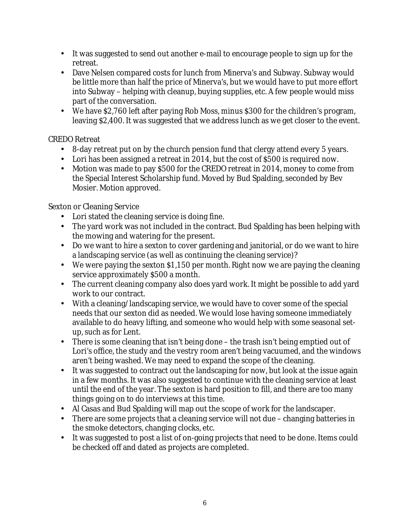- It was suggested to send out another e-mail to encourage people to sign up for the retreat.
- Dave Nelsen compared costs for lunch from Minerva's and Subway. Subway would be little more than half the price of Minerva's, but we would have to put more effort into Subway – helping with cleanup, buying supplies, etc. A few people would miss part of the conversation.
- We have \$2,760 left after paying Rob Moss, minus \$300 for the children's program, leaving \$2,400. It was suggested that we address lunch as we get closer to the event.

# CREDO Retreat

- 8-day retreat put on by the church pension fund that clergy attend every 5 years.
- Lori has been assigned a retreat in 2014, but the cost of \$500 is required now.
- Motion was made to pay \$500 for the CREDO retreat in 2014, money to come from the Special Interest Scholarship fund. Moved by Bud Spalding, seconded by Bev Mosier. Motion approved.

# Sexton or Cleaning Service

- Lori stated the cleaning service is doing fine.
- The yard work was not included in the contract. Bud Spalding has been helping with the mowing and watering for the present.
- Do we want to hire a sexton to cover gardening and janitorial, or do we want to hire a landscaping service (as well as continuing the cleaning service)?
- We were paying the sexton \$1,150 per month. Right now we are paying the cleaning service approximately \$500 a month.
- The current cleaning company also does yard work. It might be possible to add yard work to our contract.
- With a cleaning/landscaping service, we would have to cover some of the special needs that our sexton did as needed. We would lose having someone immediately available to do heavy lifting, and someone who would help with some seasonal setup, such as for Lent.
- There is some cleaning that isn't being done the trash isn't being emptied out of Lori's office, the study and the vestry room aren't being vacuumed, and the windows aren't being washed. We may need to expand the scope of the cleaning.
- It was suggested to contract out the landscaping for now, but look at the issue again in a few months. It was also suggested to continue with the cleaning service at least until the end of the year. The sexton is hard position to fill, and there are too many things going on to do interviews at this time.
- Al Casas and Bud Spalding will map out the scope of work for the landscaper.
- There are some projects that a cleaning service will not due changing batteries in the smoke detectors, changing clocks, etc.
- It was suggested to post a list of on-going projects that need to be done. Items could be checked off and dated as projects are completed.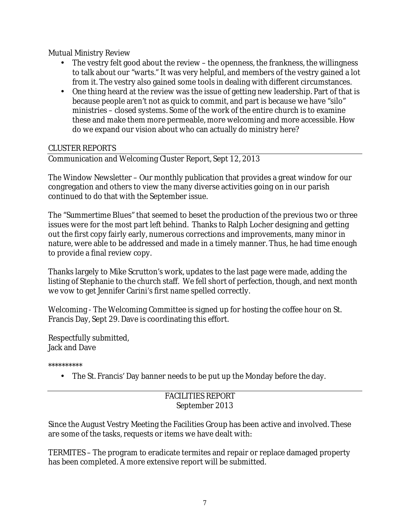Mutual Ministry Review

- The vestry felt good about the review the openness, the frankness, the willingness to talk about our "warts." It was very helpful, and members of the vestry gained a lot from it. The vestry also gained some tools in dealing with different circumstances.
- One thing heard at the review was the issue of getting new leadership. Part of that is because people aren't not as quick to commit, and part is because we have "silo" ministries – closed systems. Some of the work of the entire church is to examine these and make them more permeable, more welcoming and more accessible. How do we expand our vision about who can actually do ministry here?

### CLUSTER REPORTS

Communication and Welcoming Cluster Report, Sept 12, 2013

The Window Newsletter – Our monthly publication that provides a great window for our congregation and others to view the many diverse activities going on in our parish continued to do that with the September issue.

The "Summertime Blues" that seemed to beset the production of the previous two or three issues were for the most part left behind. Thanks to Ralph Locher designing and getting out the first copy fairly early, numerous corrections and improvements, many minor in nature, were able to be addressed and made in a timely manner. Thus, he had time enough to provide a final review copy.

Thanks largely to Mike Scrutton's work, updates to the last page were made, adding the listing of Stephanie to the church staff. We fell short of perfection, though, and next month we vow to get Jennifer Carini's first name spelled correctly.

Welcoming - The Welcoming Committee is signed up for hosting the coffee hour on St. Francis Day, Sept 29. Dave is coordinating this effort.

Respectfully submitted, Jack and Dave

\*\*\*\*\*\*\*\*\*\*

• The St. Francis' Day banner needs to be put up the Monday before the day.

## FACILITIES REPORT September 2013

Since the August Vestry Meeting the Facilities Group has been active and involved. These are some of the tasks, requests or items we have dealt with:

TERMITES – The program to eradicate termites and repair or replace damaged property has been completed. A more extensive report will be submitted.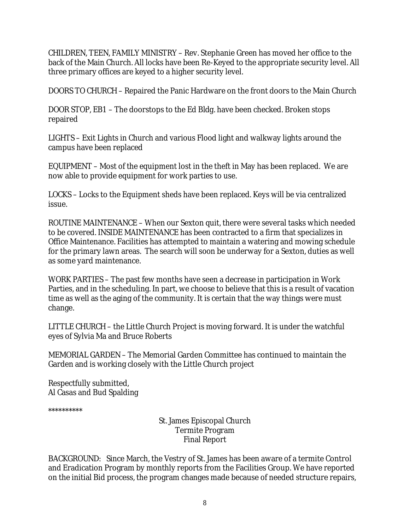CHILDREN, TEEN, FAMILY MINISTRY – Rev. Stephanie Green has moved her office to the back of the Main Church. All locks have been Re-Keyed to the appropriate security level. All three primary offices are keyed to a higher security level.

DOORS TO CHURCH – Repaired the Panic Hardware on the front doors to the Main Church

DOOR STOP, EB1 – The doorstops to the Ed Bldg. have been checked. Broken stops repaired

LIGHTS – Exit Lights in Church and various Flood light and walkway lights around the campus have been replaced

EQUIPMENT – Most of the equipment lost in the theft in May has been replaced. We are now able to provide equipment for work parties to use.

LOCKS – Locks to the Equipment sheds have been replaced. Keys will be via centralized issue.

ROUTINE MAINTENANCE – When our Sexton quit, there were several tasks which needed to be covered. INSIDE MAINTENANCE has been contracted to a firm that specializes in Office Maintenance. Facilities has attempted to maintain a watering and mowing schedule for the primary lawn areas. The search will soon be underway for a Sexton, duties as well as some yard maintenance.

WORK PARTIES – The past few months have seen a decrease in participation in Work Parties, and in the scheduling. In part, we choose to believe that this is a result of vacation time as well as the aging of the community. It is certain that the way things were must change.

LITTLE CHURCH – the Little Church Project is moving forward. It is under the watchful eyes of Sylvia Ma and Bruce Roberts

MEMORIAL GARDEN – The Memorial Garden Committee has continued to maintain the Garden and is working closely with the Little Church project

Respectfully submitted, Al Casas and Bud Spalding

\*\*\*\*\*\*\*\*\*\*

St. James Episcopal Church Termite Program Final Report

BACKGROUND: Since March, the Vestry of St. James has been aware of a termite Control and Eradication Program by monthly reports from the Facilities Group. We have reported on the initial Bid process, the program changes made because of needed structure repairs,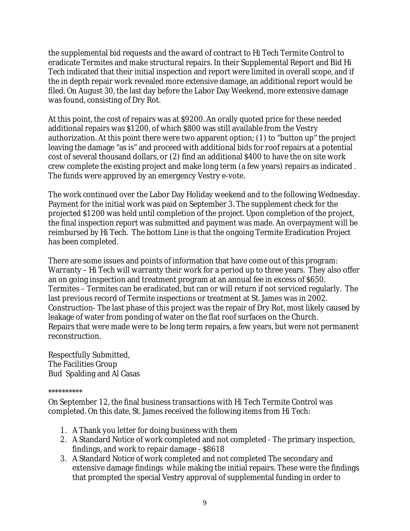the supplemental bid requests and the award of contract to Hi Tech Termite Control to eradicate Termites and make structural repairs. In their Supplemental Report and Bid Hi Tech indicated that their initial inspection and report were limited in overall scope, and if the in depth repair work revealed more extensive damage, an additional report would be filed. On August 30, the last day before the Labor Day Weekend, more extensive damage was found, consisting of Dry Rot.

At this point, the cost of repairs was at \$9200. An orally quoted price for these needed additional repairs was \$1200, of which \$800 was still available from the Vestry authorization. At this point there were two apparent option; (1) to "button up" the project leaving the damage "as is" and proceed with additional bids for roof repairs at a potential cost of several thousand dollars, or (2) find an additional \$400 to have the on site work crew complete the existing project and make long term (a few years) repairs as indicated . The funds were approved by an emergency Vestry e-vote.

The work continued over the Labor Day Holiday weekend and to the following Wednesday. Payment for the initial work was paid on September 3. The supplement check for the projected \$1200 was held until completion of the project. Upon completion of the project, the final inspection report was submitted and payment was made. An overpayment will be reimbursed by Hi Tech. The bottom Line is that the ongoing Termite Eradication Project has been completed.

There are some issues and points of information that have come out of this program: Warranty – Hi Tech will warranty their work for a period up to three years. They also offer an on going inspection and treatment program at an annual fee in excess of \$650. Termites – Termites can be eradicated, but can or will return if not serviced regularly. The last previous record of Termite inspections or treatment at St. James was in 2002. Construction- The last phase of this project was the repair of Dry Rot, most likely caused by leakage of water from ponding of water on the flat roof surfaces on the Church. Repairs that were made were to be long term repairs, a few years, but were not permanent reconstruction.

Respectfully Submitted, The Facilities Group Bud Spalding and Al Casas

\*\*\*\*\*\*\*\*\*\*

On September 12, the final business transactions with Hi Tech Termite Control was completed. On this date, St. James received the following items from Hi Tech:

- 1. A Thank you letter for doing business with them
- 2. A Standard Notice of work completed and not completed The primary inspection, findings, and work to repair damage - \$8618
- 3. A Standard Notice of work completed and not completed The secondary and extensive damage findings while making the initial repairs. These were the findings that prompted the special Vestry approval of supplemental funding in order to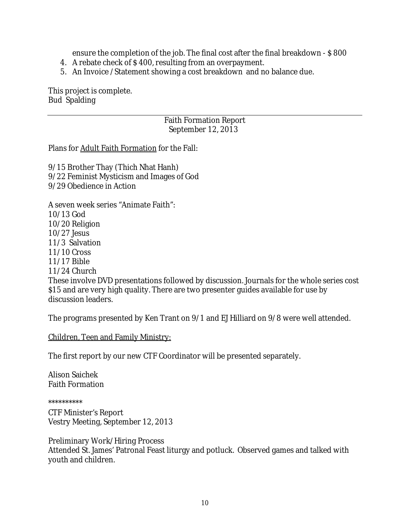ensure the completion of the job. The final cost after the final breakdown - \$800

- 4. A rebate check of \$ 400, resulting from an overpayment.
- 5. An Invoice /Statement showing a cost breakdown and no balance due.

This project is complete. Bud Spalding

### Faith Formation Report September 12, 2013

Plans for Adult Faith Formation for the Fall:

9/15 Brother Thay (Thich Nhat Hanh) 9/22 Feminist Mysticism and Images of God 9/29 Obedience in Action

A seven week series "Animate Faith": 10/13 God 10/20 Religion 10/27 Jesus 11/3 Salvation 11/10 Cross 11/17 Bible 11/24 Church These involve DVD presentations followed by discussion. Journals for the whole series cost \$15 and are very high quality. There are two presenter guides available for use by discussion leaders.

The programs presented by Ken Trant on 9/1 and EJ Hilliard on 9/8 were well attended.

Children, Teen and Family Ministry:

The first report by our new CTF Coordinator will be presented separately.

Alison Saichek Faith Formation

\*\*\*\*\*\*\*\*\*\*

CTF Minister's Report Vestry Meeting, September 12, 2013

Preliminary Work/Hiring Process Attended St. James' Patronal Feast liturgy and potluck. Observed games and talked with youth and children.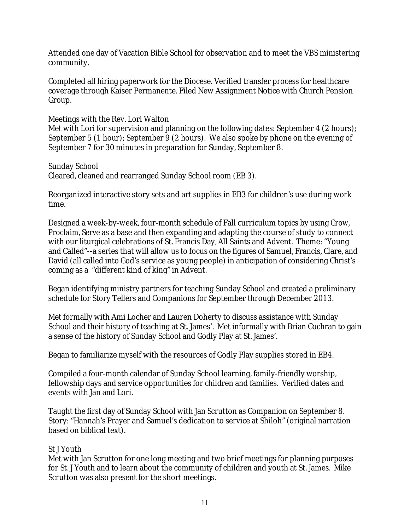Attended one day of Vacation Bible School for observation and to meet the VBS ministering community.

Completed all hiring paperwork for the Diocese. Verified transfer process for healthcare coverage through Kaiser Permanente. Filed New Assignment Notice with Church Pension Group.

Meetings with the Rev. Lori Walton

Met with Lori for supervision and planning on the following dates: September 4 (2 hours); September 5 (1 hour); September 9 (2 hours). We also spoke by phone on the evening of September 7 for 30 minutes in preparation for Sunday, September 8.

Sunday School Cleared, cleaned and rearranged Sunday School room (EB 3).

Reorganized interactive story sets and art supplies in EB3 for children's use during work time.

Designed a week-by-week, four-month schedule of Fall curriculum topics by using *Grow, Proclaim, Serve* as a base and then expanding and adapting the course of study to connect with our liturgical celebrations of St. Francis Day, All Saints and Advent. Theme: "Young and Called"--a series that will allow us to focus on the figures of Samuel, Francis, Clare, and David (all called into God's service as young people) in anticipation of considering Christ's coming as a "different kind of king" in Advent.

Began identifying ministry partners for teaching Sunday School and created a preliminary schedule for Story Tellers and Companions for September through December 2013.

Met formally with Ami Locher and Lauren Doherty to discuss assistance with Sunday School and their history of teaching at St. James'. Met informally with Brian Cochran to gain a sense of the history of Sunday School and Godly Play at St. James'.

Began to familiarize myself with the resources of Godly Play supplies stored in EB4.

Compiled a four-month calendar of Sunday School learning, family-friendly worship, fellowship days and service opportunities for children and families. Verified dates and events with Jan and Lori.

Taught the first day of Sunday School with Jan Scrutton as Companion on September 8. Story: "Hannah's Prayer and Samuel's dedication to service at Shiloh" (original narration based on biblical text).

## St J Youth

Met with Jan Scrutton for one long meeting and two brief meetings for planning purposes for St. J Youth and to learn about the community of children and youth at St. James. Mike Scrutton was also present for the short meetings.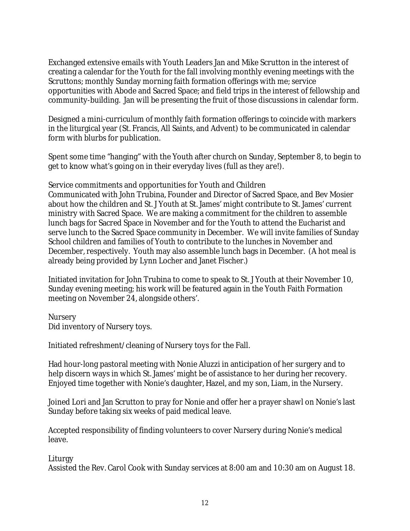Exchanged extensive emails with Youth Leaders Jan and Mike Scrutton in the interest of creating a calendar for the Youth for the fall involving monthly evening meetings with the Scruttons; monthly Sunday morning faith formation offerings with me; service opportunities with Abode and Sacred Space; and field trips in the interest of fellowship and community-building. Jan will be presenting the fruit of those discussions in calendar form.

Designed a mini-curriculum of monthly faith formation offerings to coincide with markers in the liturgical year (St. Francis, All Saints, and Advent) to be communicated in calendar form with blurbs for publication.

Spent some time "hanging" with the Youth after church on Sunday, September 8, to begin to get to know what's going on in their everyday lives (full as they are!).

Service commitments and opportunities for Youth and Children Communicated with John Trubina, Founder and Director of Sacred Space, and Bev Mosier about how the children and St. J Youth at St. James' might contribute to St. James' current ministry with Sacred Space. We are making a commitment for the children to assemble lunch bags for Sacred Space in November and for the Youth to attend the Eucharist and serve lunch to the Sacred Space community in December. We will invite families of Sunday School children and families of Youth to contribute to the lunches in November and December, respectively. Youth may also assemble lunch bags in December. (A hot meal is already being provided by Lynn Locher and Janet Fischer.)

Initiated invitation for John Trubina to come to speak to St. J Youth at their November 10, Sunday evening meeting; his work will be featured again in the Youth Faith Formation meeting on November 24, alongside others'.

**Nursery** Did inventory of Nursery toys.

Initiated refreshment/cleaning of Nursery toys for the Fall.

Had hour-long pastoral meeting with Nonie Aluzzi in anticipation of her surgery and to help discern ways in which St. James' might be of assistance to her during her recovery. Enjoyed time together with Nonie's daughter, Hazel, and my son, Liam, in the Nursery.

Joined Lori and Jan Scrutton to pray for Nonie and offer her a prayer shawl on Nonie's last Sunday before taking six weeks of paid medical leave.

Accepted responsibility of finding volunteers to cover Nursery during Nonie's medical leave.

Liturgy

Assisted the Rev. Carol Cook with Sunday services at 8:00 am and 10:30 am on August 18.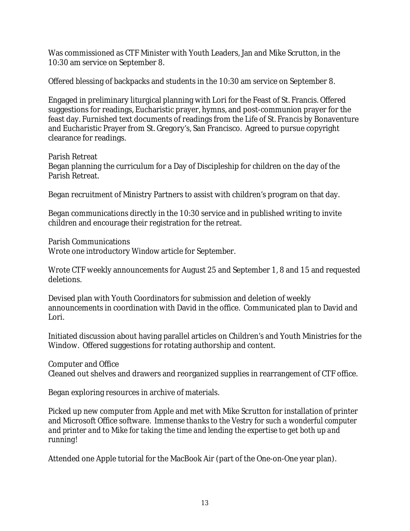Was commissioned as CTF Minister with Youth Leaders, Jan and Mike Scrutton, in the 10:30 am service on September 8.

Offered blessing of backpacks and students in the 10:30 am service on September 8.

Engaged in preliminary liturgical planning with Lori for the Feast of St. Francis. Offered suggestions for readings, Eucharistic prayer, hymns, and post-communion prayer for the feast day. Furnished text documents of readings from the *Life of St. Francis* by Bonaventure and Eucharistic Prayer from St. Gregory's, San Francisco. Agreed to pursue copyright clearance for readings.

Parish Retreat Began planning the curriculum for a Day of Discipleship for children on the day of the Parish Retreat.

Began recruitment of Ministry Partners to assist with children's program on that day.

Began communications directly in the 10:30 service and in published writing to invite children and encourage their registration for the retreat.

Parish Communications Wrote one introductory *Window* article for September.

Wrote CTF weekly announcements for August 25 and September 1, 8 and 15 and requested deletions.

Devised plan with Youth Coordinators for submission and deletion of weekly announcements in coordination with David in the office. Communicated plan to David and Lori.

Initiated discussion about having parallel articles on Children's and Youth Ministries for the Window. Offered suggestions for rotating authorship and content.

Computer and Office

Cleaned out shelves and drawers and reorganized supplies in rearrangement of CTF office.

Began exploring resources in archive of materials.

Picked up new computer from Apple and met with Mike Scrutton for installation of printer and Microsoft Office software. *Immense thanks to the Vestry for such a wonderful computer and printer and to Mike for taking the time and lending the expertise to get both up and running!* 

Attended one Apple tutorial for the MacBook Air (part of the One-on-One year plan).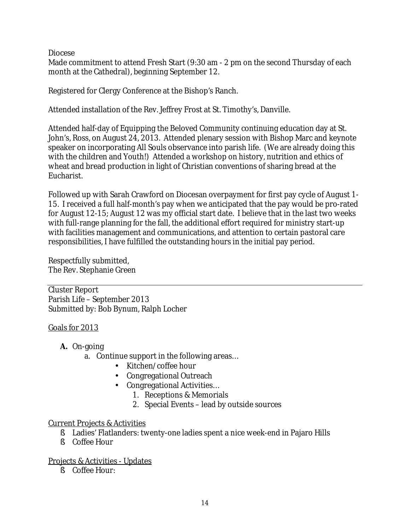Diocese

Made commitment to attend Fresh Start (9:30 am - 2 pm on the second Thursday of each month at the Cathedral), beginning September 12.

Registered for Clergy Conference at the Bishop's Ranch.

Attended installation of the Rev. Jeffrey Frost at St. Timothy's, Danville.

Attended half-day of Equipping the Beloved Community continuing education day at St. John's, Ross, on August 24, 2013. Attended plenary session with Bishop Marc and keynote speaker on incorporating All Souls observance into parish life. (We are already doing this with the children and Youth!) Attended a workshop on history, nutrition and ethics of wheat and bread production in light of Christian conventions of sharing bread at the Eucharist.

Followed up with Sarah Crawford on Diocesan overpayment for first pay cycle of August 1- 15. I received a full half-month's pay when we anticipated that the pay would be pro-rated for August 12-15; August 12 was my official start date. I believe that in the last two weeks with full-range planning for the fall, the additional effort required for ministry start-up with facilities management and communications, and attention to certain pastoral care responsibilities, I have fulfilled the outstanding hours in the initial pay period.

Respectfully submitted, The Rev. Stephanie Green

Cluster Report Parish Life – September 2013 Submitted by: Bob Bynum, Ralph Locher

Goals for 2013

- **A.** On-going
	- a. Continue support in the following areas…
		- Kitchen/coffee hour
		- Congregational Outreach
		- Congregational Activities…
			- 1. Receptions & Memorials
				- 2. Special Events lead by outside sources

## Current Projects & Activities

- § Ladies' Flatlanders: twenty-one ladies spent a nice week-end in Pajaro Hills
- § Coffee Hour

Projects & Activities - Updates

§ Coffee Hour: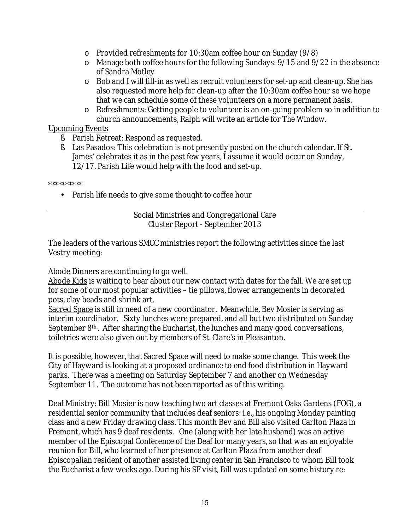- o Provided refreshments for 10:30am coffee hour on Sunday (9/8)
- o Manage both coffee hours for the following Sundays: 9/15 and 9/22 in the absence of Sandra Motley
- o Bob and I will fill-in as well as recruit volunteers for set-up and clean-up. She has also requested more help for clean-up after the 10:30am coffee hour so we hope that we can schedule some of these volunteers on a more permanent basis.
- o Refreshments: Getting people to volunteer is an on-going problem so in addition to church announcements, Ralph will write an article for *The Window.*

### Upcoming Events

- § Parish Retreat: Respond as requested.
- § Las Pasados: This celebration is not presently posted on the church calendar. If St. James' celebrates it as in the past few years, I assume it would occur on Sunday, 12/17. Parish Life would help with the food and set-up.

\*\*\*\*\*\*\*\*\*\*

• Parish life needs to give some thought to coffee hour

### Social Ministries and Congregational Care Cluster Report - September 2013

The leaders of the various SMCC ministries report the following activities since the last Vestry meeting:

### Abode Dinners are continuing to go well.

Abode Kids is waiting to hear about our new contact with dates for the fall. We are set up for some of our most popular activities – tie pillows, flower arrangements in decorated pots, clay beads and shrink art.

Sacred Space is still in need of a new coordinator. Meanwhile, Bev Mosier is serving as interim coordinator. Sixty lunches were prepared, and all but two distributed on Sunday September 8<sup>th</sup>. After sharing the Eucharist, the lunches and many good conversations, toiletries were also given out by members of St. Clare's in Pleasanton.

It is possible, however, that Sacred Space will need to make some change. This week the City of Hayward is looking at a proposed ordinance to end food distribution in Hayward parks. There was a meeting on Saturday September 7 and another on Wednesday September 11. The outcome has not been reported as of this writing.

Deaf Ministry: Bill Mosier is now teaching two art classes at Fremont Oaks Gardens (FOG), a residential senior community that includes deaf seniors: i.e., his ongoing Monday painting class and a new Friday drawing class. This month Bev and Bill also visited Carlton Plaza in Fremont, which has 9 deaf residents. One (along with her late husband) was an active member of the Episcopal Conference of the Deaf for many years, so that was an enjoyable reunion for Bill, who learned of her presence at Carlton Plaza from another deaf Episcopalian resident of another assisted living center in San Francisco to whom Bill took the Eucharist a few weeks ago. During his SF visit, Bill was updated on some history re: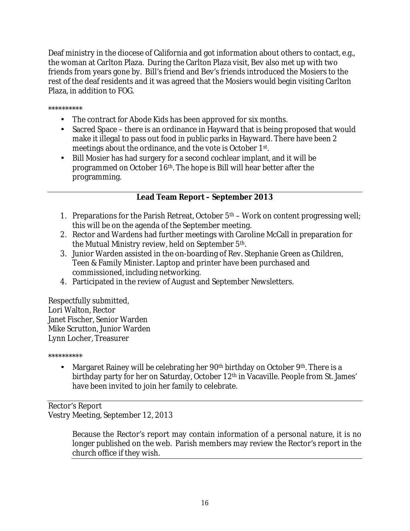Deaf ministry in the diocese of California and got information about others to contact, e.g., the woman at Carlton Plaza. During the Carlton Plaza visit, Bev also met up with two friends from years gone by. Bill's friend and Bev's friends introduced the Mosiers to the rest of the deaf residents and it was agreed that the Mosiers would begin visiting Carlton Plaza, in addition to FOG.

\*\*\*\*\*\*\*\*\*\*

- The contract for Abode Kids has been approved for six months.
- Sacred Space there is an ordinance in Hayward that is being proposed that would make it illegal to pass out food in public parks in Hayward. There have been 2 meetings about the ordinance, and the vote is October 1st .
- Bill Mosier has had surgery for a second cochlear implant, and it will be programmed on October 16th. The hope is Bill will hear better after the programming.

## **Lead Team Report – September 2013**

- 1. Preparations for the Parish Retreat, October  $5<sup>th</sup>$  Work on content progressing well; this will be on the agenda of the September meeting.
- 2. Rector and Wardens had further meetings with Caroline McCall in preparation for the Mutual Ministry review, held on September 5th.
- 3. Junior Warden assisted in the on-boarding of Rev. Stephanie Green as Children, Teen & Family Minister. Laptop and printer have been purchased and commissioned, including networking.
- 4. Participated in the review of August and September Newsletters.

Respectfully submitted, Lori Walton, Rector Janet Fischer, Senior Warden Mike Scrutton, Junior Warden Lynn Locher, Treasurer

\*\*\*\*\*\*\*\*\*\*

• Margaret Rainey will be celebrating her  $90<sup>th</sup>$  birthday on October  $9<sup>th</sup>$ . There is a birthday party for her on Saturday, October 12<sup>th</sup> in Vacaville. People from St. James' have been invited to join her family to celebrate.

Rector's Report Vestry Meeting, September 12, 2013

> Because the Rector's report may contain information of a personal nature, it is no longer published on the web. Parish members may review the Rector's report in the church office if they wish.